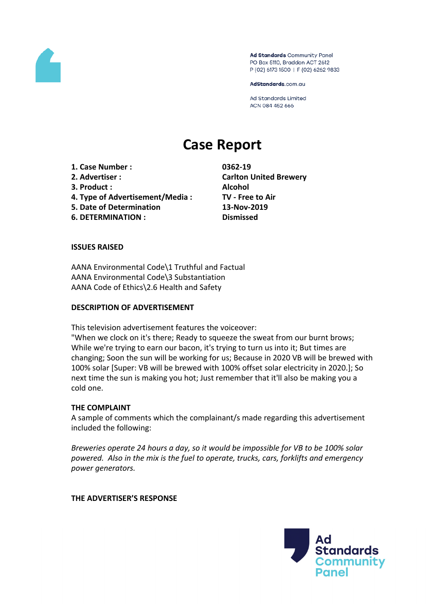

Ad Standards Community Panel PO Box 5110, Braddon ACT 2612 P (02) 6173 1500 | F (02) 6262 9833

AdStandards.com.au

**Ad Standards Limited** ACN 084 452 666

# **Case Report**

**1. Case Number : 0362-19 2. Advertiser : Carlton United Brewery 3. Product : Alcohol**

- 
- **4. Type of Advertisement/Media : TV - Free to Air**
- **5. Date of Determination 13-Nov-2019**

**6. DETERMINATION : Dismissed**

# **ISSUES RAISED**

AANA Environmental Code\1 Truthful and Factual AANA Environmental Code\3 Substantiation AANA Code of Ethics\2.6 Health and Safety

# **DESCRIPTION OF ADVERTISEMENT**

This television advertisement features the voiceover:

"When we clock on it's there; Ready to squeeze the sweat from our burnt brows; While we're trying to earn our bacon, it's trying to turn us into it; But times are changing; Soon the sun will be working for us; Because in 2020 VB will be brewed with 100% solar [Super: VB will be brewed with 100% offset solar electricity in 2020.]; So next time the sun is making you hot; Just remember that it'll also be making you a cold one.

# **THE COMPLAINT**

A sample of comments which the complainant/s made regarding this advertisement included the following:

*Breweries operate 24 hours a day, so it would be impossible for VB to be 100% solar powered. Also in the mix is the fuel to operate, trucks, cars, forklifts and emergency power generators.*

# **THE ADVERTISER'S RESPONSE**

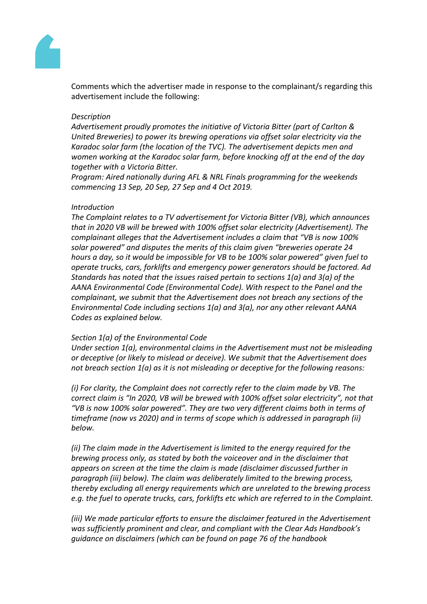

Comments which the advertiser made in response to the complainant/s regarding this advertisement include the following:

#### *Description*

*Advertisement proudly promotes the initiative of Victoria Bitter (part of Carlton & United Breweries) to power its brewing operations via offset solar electricity via the Karadoc solar farm (the location of the TVC). The advertisement depicts men and women working at the Karadoc solar farm, before knocking off at the end of the day together with a Victoria Bitter.*

*Program: Aired nationally during AFL & NRL Finals programming for the weekends commencing 13 Sep, 20 Sep, 27 Sep and 4 Oct 2019.*

# *Introduction*

*The Complaint relates to a TV advertisement for Victoria Bitter (VB), which announces that in 2020 VB will be brewed with 100% offset solar electricity (Advertisement). The complainant alleges that the Advertisement includes a claim that "VB is now 100% solar powered" and disputes the merits of this claim given "breweries operate 24 hours a day, so it would be impossible for VB to be 100% solar powered" given fuel to operate trucks, cars, forklifts and emergency power generators should be factored. Ad Standards has noted that the issues raised pertain to sections 1(a) and 3(a) of the AANA Environmental Code (Environmental Code). With respect to the Panel and the complainant, we submit that the Advertisement does not breach any sections of the Environmental Code including sections 1(a) and 3(a), nor any other relevant AANA Codes as explained below.*

# *Section 1(a) of the Environmental Code*

*Under section 1(a), environmental claims in the Advertisement must not be misleading or deceptive (or likely to mislead or deceive). We submit that the Advertisement does not breach section 1(a) as it is not misleading or deceptive for the following reasons:*

*(i) For clarity, the Complaint does not correctly refer to the claim made by VB. The correct claim is "In 2020, VB will be brewed with 100% offset solar electricity", not that "VB is now 100% solar powered". They are two very different claims both in terms of timeframe (now vs 2020) and in terms of scope which is addressed in paragraph (ii) below.* 

*(ii) The claim made in the Advertisement is limited to the energy required for the brewing process only, as stated by both the voiceover and in the disclaimer that appears on screen at the time the claim is made (disclaimer discussed further in paragraph (iii) below). The claim was deliberately limited to the brewing process, thereby excluding all energy requirements which are unrelated to the brewing process e.g. the fuel to operate trucks, cars, forklifts etc which are referred to in the Complaint.* 

*(iii) We made particular efforts to ensure the disclaimer featured in the Advertisement was sufficiently prominent and clear, and compliant with the Clear Ads Handbook's guidance on disclaimers (which can be found on page 76 of the handbook*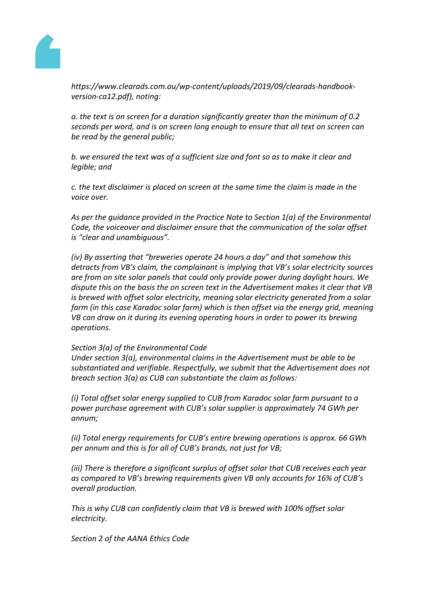

*https://www.clearads.com.au/wp-content/uploads/2019/09/clearads-handbookversion-ca12.pdf), noting:*

*a. the text is on screen for a duration significantly greater than the minimum of 0.2 seconds per word, and is on screen long enough to ensure that all text on screen can be read by the general public;*

*b. we ensured the text was of a sufficient size and font so as to make it clear and legible; and*

*c. the text disclaimer is placed on screen at the same time the claim is made in the voice over.*

*As per the guidance provided in the Practice Note to Section 1(a) of the Environmental Code, the voiceover and disclaimer ensure that the communication of the solar offset is "clear and unambiguous".*

*(iv) By asserting that "breweries operate 24 hours a day" and that somehow this detracts from VB's claim, the complainant is implying that VB's solar electricity sources are from on site solar panels that could only provide power during daylight hours. We dispute this on the basis the on screen text in the Advertisement makes it clear that VB is brewed with offset solar electricity, meaning solar electricity generated from a solar farm (in this case Karadoc solar farm) which is then offset via the energy grid, meaning VB can draw on it during its evening operating hours in order to power its brewing operations.*

# *Section 3(a) of the Environmental Code*

*Under section 3(a), environmental claims in the Advertisement must be able to be substantiated and verifiable. Respectfully, we submit that the Advertisement does not breach section 3(a) as CUB can substantiate the claim as follows:*

*(i) Total offset solar energy supplied to CUB from Karadoc solar farm pursuant to a power purchase agreement with CUB's solar supplier is approximately 74 GWh per annum;*

*(ii) Total energy requirements for CUB's entire brewing operations is approx. 66 GWh per annum and this is for all of CUB's brands, not just for VB;*

*(iii) There is therefore a significant surplus of offset solar that CUB receives each year as compared to VB's brewing requirements given VB only accounts for 16% of CUB's overall production.*

*This is why CUB can confidently claim that VB is brewed with 100% offset solar electricity.*

*Section 2 of the AANA Ethics Code*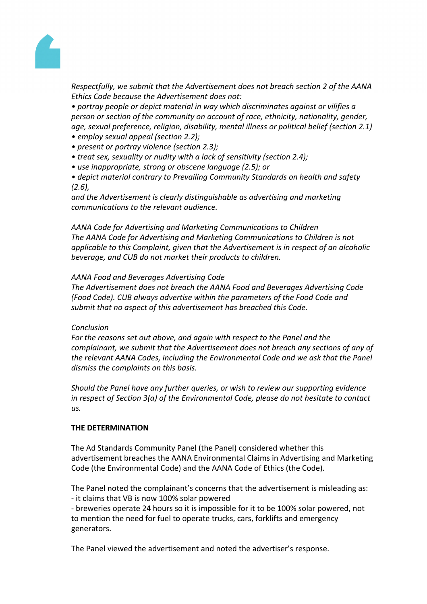

*Respectfully, we submit that the Advertisement does not breach section 2 of the AANA Ethics Code because the Advertisement does not:*

*• portray people or depict material in way which discriminates against or vilifies a person or section of the community on account of race, ethnicity, nationality, gender, age, sexual preference, religion, disability, mental illness or political belief (section 2.1) • employ sexual appeal (section 2.2);*

- 
- *• present or portray violence (section 2.3);*
- *• treat sex, sexuality or nudity with a lack of sensitivity (section 2.4);*
- *• use inappropriate, strong or obscene language (2.5); or*

*• depict material contrary to Prevailing Community Standards on health and safety (2.6),*

*and the Advertisement is clearly distinguishable as advertising and marketing communications to the relevant audience.*

*AANA Code for Advertising and Marketing Communications to Children The AANA Code for Advertising and Marketing Communications to Children is not applicable to this Complaint, given that the Advertisement is in respect of an alcoholic beverage, and CUB do not market their products to children.*

#### *AANA Food and Beverages Advertising Code*

*The Advertisement does not breach the AANA Food and Beverages Advertising Code (Food Code). CUB always advertise within the parameters of the Food Code and submit that no aspect of this advertisement has breached this Code.*

#### *Conclusion*

*For the reasons set out above, and again with respect to the Panel and the complainant, we submit that the Advertisement does not breach any sections of any of the relevant AANA Codes, including the Environmental Code and we ask that the Panel dismiss the complaints on this basis.*

*Should the Panel have any further queries, or wish to review our supporting evidence in respect of Section 3(a) of the Environmental Code, please do not hesitate to contact us.*

# **THE DETERMINATION**

The Ad Standards Community Panel (the Panel) considered whether this advertisement breaches the AANA Environmental Claims in Advertising and Marketing Code (the Environmental Code) and the AANA Code of Ethics (the Code).

The Panel noted the complainant's concerns that the advertisement is misleading as: - it claims that VB is now 100% solar powered

- breweries operate 24 hours so it is impossible for it to be 100% solar powered, not to mention the need for fuel to operate trucks, cars, forklifts and emergency generators.

The Panel viewed the advertisement and noted the advertiser's response.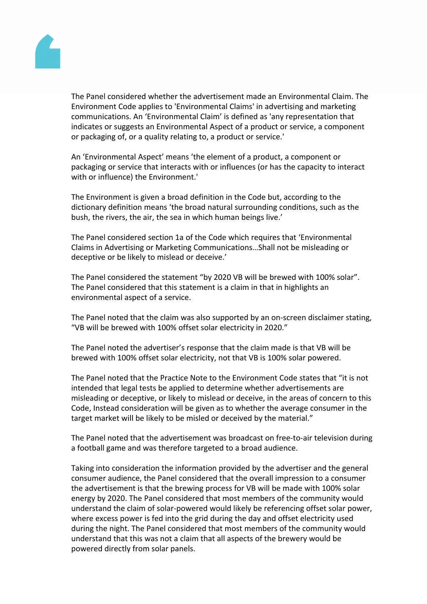

The Panel considered whether the advertisement made an Environmental Claim. The Environment Code applies to 'Environmental Claims' in advertising and marketing communications. An 'Environmental Claim' is defined as 'any representation that indicates or suggests an Environmental Aspect of a product or service, a component or packaging of, or a quality relating to, a product or service.'

An 'Environmental Aspect' means 'the element of a product, a component or packaging or service that interacts with or influences (or has the capacity to interact with or influence) the Environment.'

The Environment is given a broad definition in the Code but, according to the dictionary definition means 'the broad natural surrounding conditions, such as the bush, the rivers, the air, the sea in which human beings live.'

The Panel considered section 1a of the Code which requires that 'Environmental Claims in Advertising or Marketing Communications…Shall not be misleading or deceptive or be likely to mislead or deceive.'

The Panel considered the statement "by 2020 VB will be brewed with 100% solar". The Panel considered that this statement is a claim in that in highlights an environmental aspect of a service.

The Panel noted that the claim was also supported by an on-screen disclaimer stating, "VB will be brewed with 100% offset solar electricity in 2020."

The Panel noted the advertiser's response that the claim made is that VB will be brewed with 100% offset solar electricity, not that VB is 100% solar powered.

The Panel noted that the Practice Note to the Environment Code states that "it is not intended that legal tests be applied to determine whether advertisements are misleading or deceptive, or likely to mislead or deceive, in the areas of concern to this Code, Instead consideration will be given as to whether the average consumer in the target market will be likely to be misled or deceived by the material."

The Panel noted that the advertisement was broadcast on free-to-air television during a football game and was therefore targeted to a broad audience.

Taking into consideration the information provided by the advertiser and the general consumer audience, the Panel considered that the overall impression to a consumer the advertisement is that the brewing process for VB will be made with 100% solar energy by 2020. The Panel considered that most members of the community would understand the claim of solar-powered would likely be referencing offset solar power, where excess power is fed into the grid during the day and offset electricity used during the night. The Panel considered that most members of the community would understand that this was not a claim that all aspects of the brewery would be powered directly from solar panels.